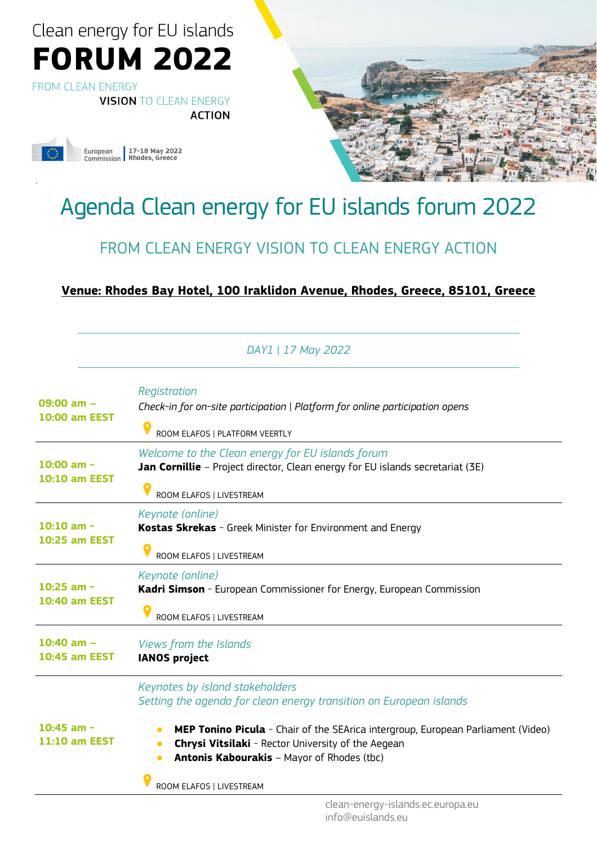**FROM CLEAN ENERGY VISION TO CLEAN ENERGY** 

**ACTION** 



g



### Agenda Clean energy for EU islands forum 2022

### FROM CLEAN ENERGY VISION TO CLEAN ENERGY ACTION

#### **[Venue: Rhodes Bay Hotel, 100 Iraklidon](https://g.page/RhodesBayHotel?share) Avenue, Rhodes, Greece, 85101, Greece**

|                                        | DAY1   17 May 2022                                                                                                                                                                                                                                                                                                                                                |
|----------------------------------------|-------------------------------------------------------------------------------------------------------------------------------------------------------------------------------------------------------------------------------------------------------------------------------------------------------------------------------------------------------------------|
| $09:00 am -$<br><b>10:00 am EEST</b>   | Registration<br>Check-in for on-site participation   Platform for online participation opens<br>ROOM ELAFOS   PLATFORM VEERTLY                                                                                                                                                                                                                                    |
| $10:00$ am -<br><b>10:10 am EEST</b>   | Welcome to the Clean energy for EU islands forum<br>Jan Cornillie - Project director, Clean energy for EU islands secretariat (3E)<br>ROOM ELAFOS   LIVESTREAM                                                                                                                                                                                                    |
| $10:10$ am -<br><b>10:25 am EEST</b>   | Keynote (online)<br>Kostas Skrekas - Greek Minister for Environment and Energy<br>ROOM ELAFOS   LIVESTREAM                                                                                                                                                                                                                                                        |
| 10:25 am -<br><b>10:40 am EEST</b>     | Keynote (online)<br>Kadri Simson - European Commissioner for Energy, European Commission<br>ROOM ELAFOS   LIVESTREAM                                                                                                                                                                                                                                              |
| $10:40$ am $-$<br><b>10:45 am EEST</b> | Views from the Islands<br><b>IANOS project</b>                                                                                                                                                                                                                                                                                                                    |
| $10:45$ am -<br>11:10 am EEST          | Keynotes by island stakeholders<br>Setting the agenda for clean energy transition on European islands<br><b>MEP Tonino Picula</b> - Chair of the SEArica intergroup, European Parliament (Video)<br>$\bullet$<br>Chrysi Vitsilaki - Rector University of the Aegean<br><b>Antonis Kabourakis</b> - Mayor of Rhodes (tbc)<br>$\bullet$<br>ROOM ELAFOS   LIVESTREAM |
|                                        |                                                                                                                                                                                                                                                                                                                                                                   |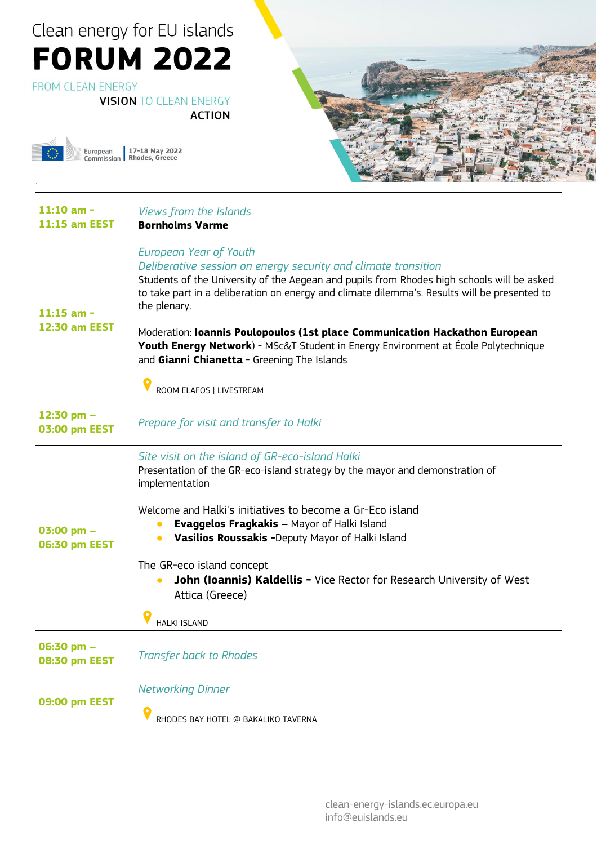FROM CLEAN ENERGY

g

**VISION TO CLEAN ENERGY** 

**ACTION** 

European 17-18 May 2022<br>Commission Rhodes, Greece



| $11:10$ am -<br>$11:15$ am EEST | Views from the Islands<br><b>Bornholms Varme</b>                                                                                                                                                                                                                                                       |
|---------------------------------|--------------------------------------------------------------------------------------------------------------------------------------------------------------------------------------------------------------------------------------------------------------------------------------------------------|
| $11:15$ am -<br>12:30 am EEST   | European Year of Youth<br>Deliberative session on energy security and climate transition<br>Students of the University of the Aegean and pupils from Rhodes high schools will be asked<br>to take part in a deliberation on energy and climate dilemma's. Results will be presented to<br>the plenary. |
|                                 | Moderation: Ioannis Poulopoulos (1st place Communication Hackathon European<br><b>Youth Energy Network</b> ) - MSc&T Student in Energy Environment at École Polytechnique<br>and Gianni Chianetta - Greening The Islands                                                                               |
|                                 | ROOM ELAFOS   LIVESTREAM                                                                                                                                                                                                                                                                               |
| 12:30 pm $-$<br>03:00 pm EEST   | Prepare for visit and transfer to Halki                                                                                                                                                                                                                                                                |
| 03:00 pm $-$<br>06:30 pm EEST   | Site visit on the island of GR-eco-island Halki<br>Presentation of the GR-eco-island strategy by the mayor and demonstration of<br>implementation                                                                                                                                                      |
|                                 | Welcome and Halki's initiatives to become a Gr-Eco island<br><b>Evaggelos Fragkakis - Mayor of Halki Island</b><br>Vasilios Roussakis -Deputy Mayor of Halki Island                                                                                                                                    |
|                                 | The GR-eco island concept<br>John (Ioannis) Kaldellis - Vice Rector for Research University of West<br>Attica (Greece)                                                                                                                                                                                 |
|                                 | <b>HALKI ISLAND</b>                                                                                                                                                                                                                                                                                    |
| 06:30 pm -<br>08:30 pm EEST     | <b>Transfer back to Rhodes</b>                                                                                                                                                                                                                                                                         |
| 09:00 pm EEST                   | <b>Networking Dinner</b>                                                                                                                                                                                                                                                                               |
|                                 | RHODES BAY HOTEL @ BAKALIKO TAVERNA                                                                                                                                                                                                                                                                    |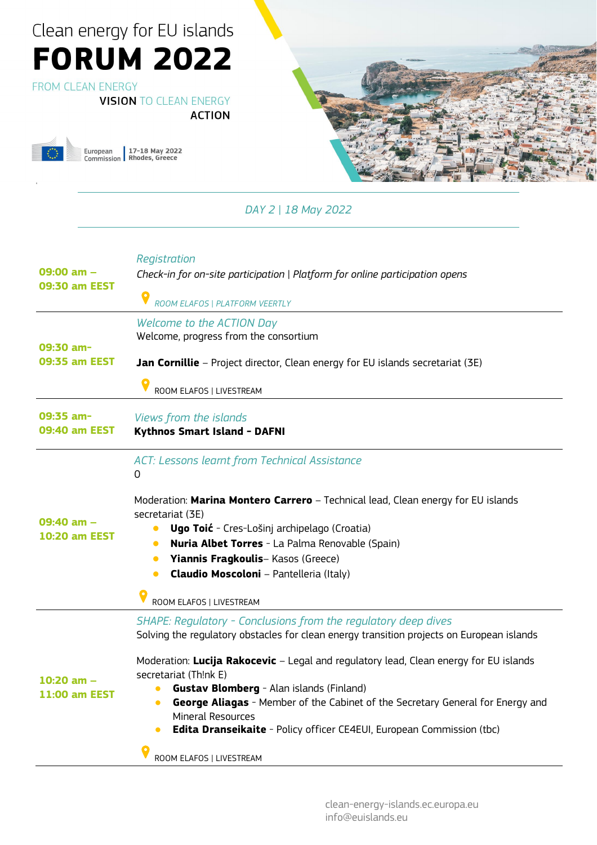#### FROM CLEAN ENERGY

g

**VISION TO CLEAN ENERGY** 

**ACTION** 

European 17-18 May 2022<br>Commission Rhodes, Greece



*DAY 2 | 18 May 2022*

| 09:00 am –<br><b>09:30 am EEST</b> | Registration<br>Check-in for on-site participation   Platform for online participation opens<br>ROOM ELAFOS   PLATFORM VEERTLY                                                                                                                                                                                                                                                                                                                                                                                                                                                       |
|------------------------------------|--------------------------------------------------------------------------------------------------------------------------------------------------------------------------------------------------------------------------------------------------------------------------------------------------------------------------------------------------------------------------------------------------------------------------------------------------------------------------------------------------------------------------------------------------------------------------------------|
| 09:30 am-<br>09:35 am EEST         | Welcome to the ACTION Day<br>Welcome, progress from the consortium<br>Jan Cornillie - Project director, Clean energy for EU islands secretariat (3E)<br>ROOM ELAFOS   LIVESTREAM                                                                                                                                                                                                                                                                                                                                                                                                     |
| 09:35 am-<br>09:40 am EEST         | Views from the islands<br><b>Kythnos Smart Island - DAFNI</b>                                                                                                                                                                                                                                                                                                                                                                                                                                                                                                                        |
| 09:40 am -<br><b>10:20 am EEST</b> | <b>ACT: Lessons learnt from Technical Assistance</b><br>0<br>Moderation: Marina Montero Carrero - Technical lead, Clean energy for EU islands<br>secretariat (3E)<br><b>Ugo Toić</b> - Cres-Lošinj archipelago (Croatia)<br><b>Nuria Albet Torres</b> - La Palma Renovable (Spain)<br>Yiannis Fragkoulis-Kasos (Greece)<br>$\bullet$<br><b>Claudio Moscoloni</b> - Pantelleria (Italy)<br>$\bullet$<br>ROOM ELAFOS   LIVESTREAM                                                                                                                                                      |
| 10:20 am -<br><b>11:00 am EEST</b> | SHAPE: Regulatory - Conclusions from the regulatory deep dives<br>Solving the regulatory obstacles for clean energy transition projects on European islands<br>Moderation: Lucija Rakocevic - Legal and regulatory lead, Clean energy for EU islands<br>secretariat (Th!nk E)<br><b>Gustav Blomberg</b> - Alan islands (Finland)<br><b>George Aliagas</b> - Member of the Cabinet of the Secretary General for Energy and<br>$\bullet$<br><b>Mineral Resources</b><br>Edita Dranseikaite - Policy officer CE4EUI, European Commission (tbc)<br>$\bullet$<br>ROOM ELAFOS   LIVESTREAM |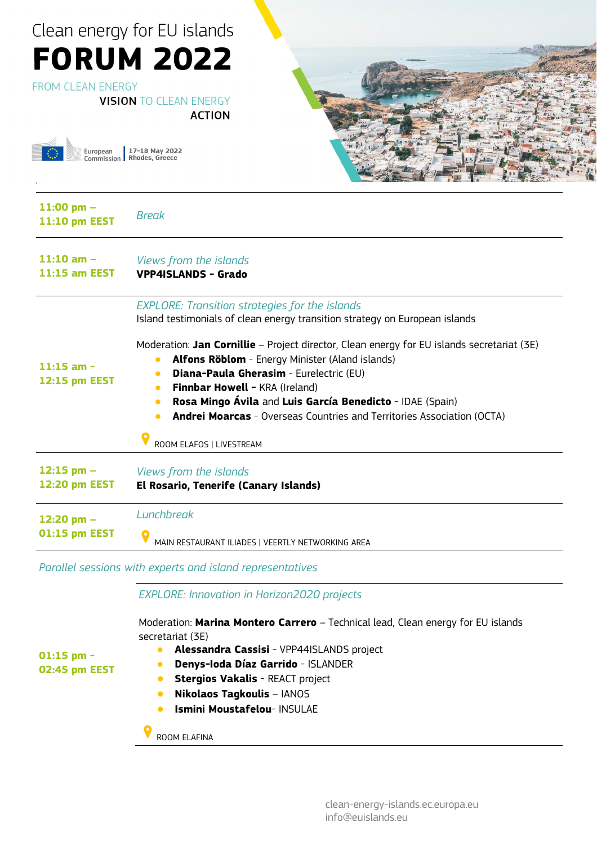#### Clean energy for EU islands **FORUM 2022 FROM CLEAN ENERGY VISION TO CLEAN ENERGY ACTION** European 17-18 May 2022<br>Commission Rhodes, Greece g **11:00 pm – 11:10 pm EEST** *Break* **11:10 am –** *Views from the islands* **11:15 am EEST VPP4ISLANDS - Grado** *EXPLORE: Transition strategies for the islands* Island testimonials of clean energy transition strategy on European islands Moderation: **Jan Cornillie** – Project director, Clean energy for EU islands secretariat (3E) ● **Alfons Röblom** - Energy Minister (Aland islands) **11:15 am -** ● **Diana-Paula Gherasim** - Eurelectric (EU) **12:15 pm EEST • Finnbar Howell - KRA (Ireland)** ● **Rosa Mingo Ávila** and **Luis García Benedicto** - IDAE (Spain) ● **Andrei Moarcas** - Overseas Countries and Territories Association (OCTA)

ROOM ELAFOS | LIVESTREAM

| $12:15$ pm $-$ | Views from the islands |
|----------------|------------------------|
|----------------|------------------------|

**12:20 pm EEST El Rosario, Tenerife (Canary Islands)**

| 12:20 pm $-$  | Lunchbreak                                        |
|---------------|---------------------------------------------------|
| 01:15 pm EEST | MAIN RESTAURANT ILIADES   VEERTLY NETWORKING AREA |

*Parallel sessions with experts and island representatives* 

*EXPLORE: Innovation in Horizon2020 projects*

Moderation: **Marina Montero Carrero** – Technical lead, Clean energy for EU islands secretariat (3E)

- **01:15 pm - 02:45 pm EEST**
- **Alessandra Cassisi** VPP44ISLANDS project
- **Denys-Ioda Díaz Garrido** ISLANDER
- **Stergios Vakalis** REACT project
- **Nikolaos Tagkoulis** IANOS
- **Ismini Moustafelou- INSULAE**

ROOM ELAFINA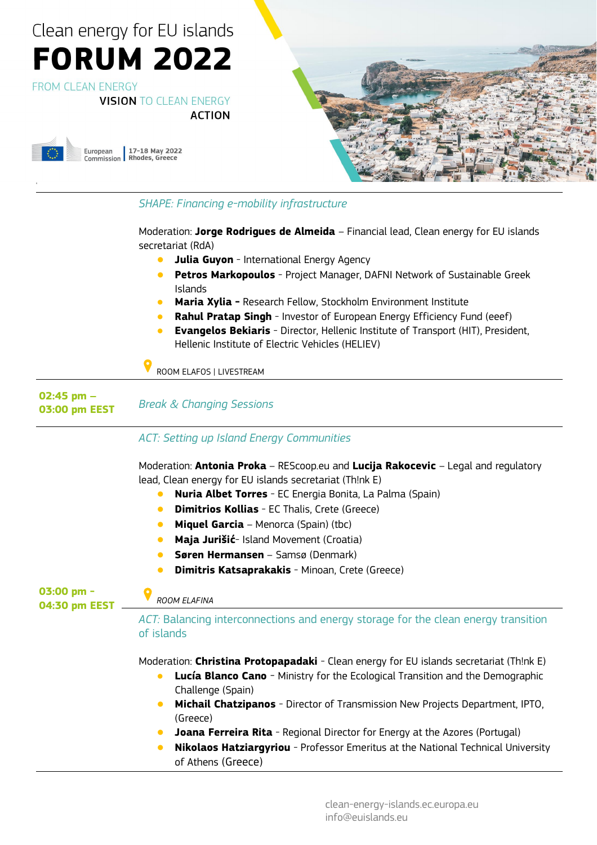**FROM CLEAN ENERGY** 

g

**VISION TO CLEAN ENERGY** 

**ACTION** 





#### *SHAPE: Financing e-mobility infrastructure* Moderation: **Jorge Rodrigues de Almeida** – Financial lead, Clean energy for EU islands secretariat (RdA) **Julia Guyon** - International Energy Agency ● **Petros Markopoulos** - Project Manager, DAFNI Network of Sustainable Greek Islands **Maria Xylia - Research Fellow, Stockholm Environment Institute Rahul Pratap Singh** - Investor of European Energy Efficiency Fund (eeef) **Evangelos Bekiaris** - Director, Hellenic Institute of Transport (HIT), President, Hellenic Institute of Electric Vehicles (HELIEV) ROOM ELAFOS | LIVESTREAM **02:45 pm – 03:00 pm EEST** *Break & Changing Sessions* **03:00 pm - 04:30 pm EEST** *ACT: Setting up Island Energy Communities* Moderation: **Antonia Proka** – REScoop.eu and **Lucija Rakocevic** – Legal and regulatory lead, Clean energy for EU islands secretariat (Th!nk E) ● **Nuria Albet Torres** - EC Energia Bonita, La Palma (Spain) ● **Dimitrios Kollias** - EC Thalis, Crete (Greece) **Miquel Garcia** – Menorca (Spain) (tbc) **Maja Jurišić**- Island Movement (Croatia) ● **Søren Hermansen** – Samsø (Denmark) **Dimitris Katsaprakakis** - Minoan, Crete (Greece) *ROOM ELAFINA ACT:* Balancing interconnections and energy storage for the clean energy transition of islands Moderation: **Christina Protopapadaki** - Clean energy for EU islands secretariat (Th!nk E) **Lucía Blanco Cano** - Ministry for the Ecological Transition and the Demographic Challenge (Spain) ● **Michail Chatzipanos** - Director of Transmission New Projects Department, IPTO, (Greece) **Joana Ferreira Rita** - Regional Director for Energy at the Azores (Portugal) ● **Nikolaos Hatziargyriou** - Professor Emeritus at the National Technical University

of Athens (Greece)

clean-energy-islands.ec.europa.eu info@euislands.eu